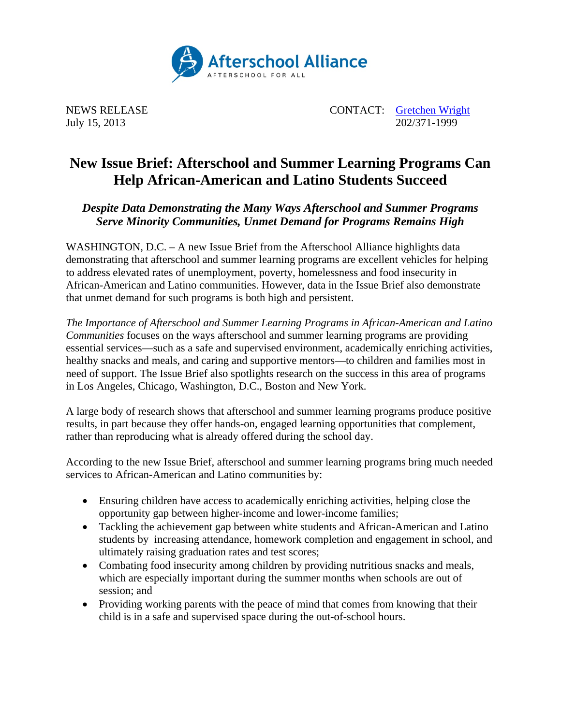

July 15, 2013

NEWS RELEASE CONTACT: Contract CONTACT: Contract CONTACT: Contract CONTACT: Contract CONTACT: Contract CONTACT: Contract CONTACT: Contract CONTACT: Contract CONTACT: Contract CONTACT: Contract CONTACT: CONTACT: CONTACT: CO

## **New Issue Brief: Afterschool and Summer Learning Programs Can Help African-American and Latino Students Succeed**

*Despite Data Demonstrating the Many Ways Afterschool and Summer Programs Serve Minority Communities, Unmet Demand for Programs Remains High* 

WASHINGTON, D.C. – A new Issue Brief from the Afterschool Alliance highlights data demonstrating that afterschool and summer learning programs are excellent vehicles for helping to address elevated rates of unemployment, poverty, homelessness and food insecurity in African-American and Latino communities. However, data in the Issue Brief also demonstrate that unmet demand for such programs is both high and persistent.

*The Importance of Afterschool and Summer Learning Programs in African-American and Latino Communities* focuses on the ways afterschool and summer learning programs are providing essential services—such as a safe and supervised environment, academically enriching activities, healthy snacks and meals, and caring and supportive mentors—to children and families most in need of support. The Issue Brief also spotlights research on the success in this area of programs in Los Angeles, Chicago, Washington, D.C., Boston and New York.

A large body of research shows that afterschool and summer learning programs produce positive results, in part because they offer hands-on, engaged learning opportunities that complement, rather than reproducing what is already offered during the school day.

According to the new Issue Brief, afterschool and summer learning programs bring much needed services to African-American and Latino communities by:

- Ensuring children have access to academically enriching activities, helping close the opportunity gap between higher-income and lower-income families;
- Tackling the achievement gap between white students and African-American and Latino students by increasing attendance, homework completion and engagement in school, and ultimately raising graduation rates and test scores;
- Combating food insecurity among children by providing nutritious snacks and meals, which are especially important during the summer months when schools are out of session; and
- Providing working parents with the peace of mind that comes from knowing that their child is in a safe and supervised space during the out-of-school hours.